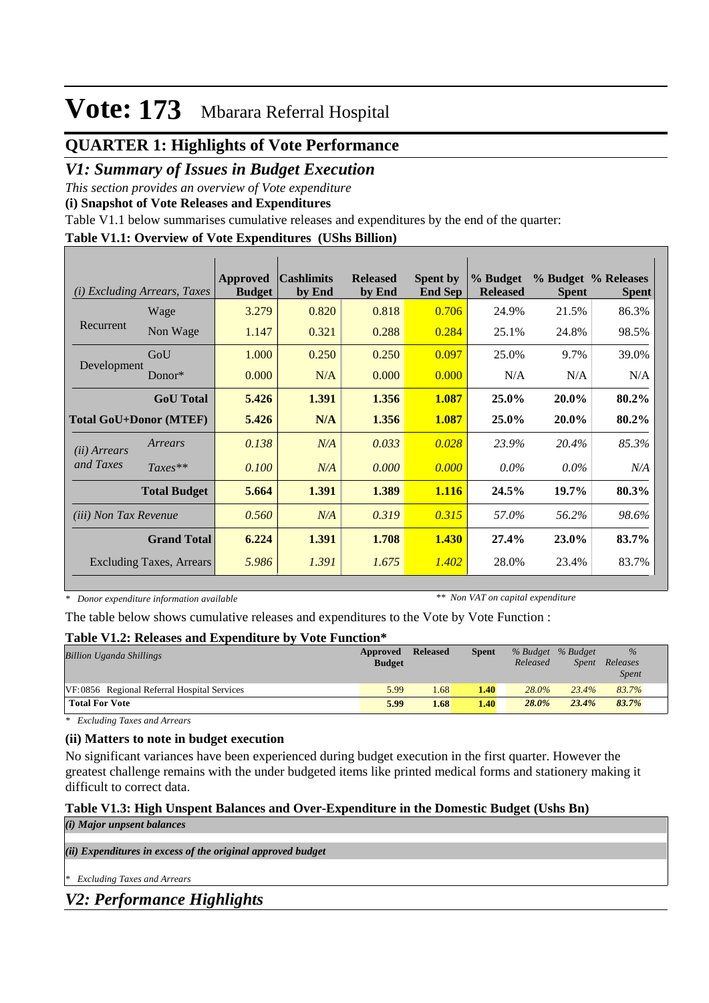## **QUARTER 1: Highlights of Vote Performance**

### *V1: Summary of Issues in Budget Execution*

*This section provides an overview of Vote expenditure* 

**(i) Snapshot of Vote Releases and Expenditures**

Table V1.1 below summarises cumulative releases and expenditures by the end of the quarter:

#### **Table V1.1: Overview of Vote Expenditures (UShs Billion)**

| (i)                           | <i>Excluding Arrears, Taxes</i> | Approved<br><b>Budget</b> | <b>Cashlimits</b><br>by End | <b>Released</b><br>by End | <b>Spent by</b><br><b>End Sep</b> | % Budget<br><b>Released</b> | <b>Spent</b> | % Budget % Releases<br><b>Spent</b> |
|-------------------------------|---------------------------------|---------------------------|-----------------------------|---------------------------|-----------------------------------|-----------------------------|--------------|-------------------------------------|
|                               | Wage                            | 3.279                     | 0.820                       | 0.818                     | 0.706                             | 24.9%                       | 21.5%        | 86.3%                               |
| Recurrent                     | Non Wage                        | 1.147                     | 0.321                       | 0.288                     | 0.284                             | 25.1%                       | 24.8%        | 98.5%                               |
| Development                   | GoU                             | 1.000                     | 0.250                       | 0.250                     | 0.097                             | 25.0%                       | 9.7%         | 39.0%                               |
|                               | $Donor*$                        | 0.000                     | N/A                         | 0.000                     | 0.000                             | N/A                         | N/A          | N/A                                 |
|                               | <b>GoU</b> Total                | 5.426                     | 1.391                       | 1.356                     | 1.087                             | 25.0%                       | 20.0%        | 80.2%                               |
| <b>Total GoU+Donor (MTEF)</b> |                                 | 5.426                     | N/A                         | 1.356                     | 1.087                             | 25.0%                       | 20.0%        | 80.2%                               |
| ( <i>ii</i> ) Arrears         | Arrears                         | 0.138                     | N/A                         | 0.033                     | 0.028                             | 23.9%                       | 20.4%        | 85.3%                               |
| and Taxes                     | $Taxes**$                       | 0.100                     | N/A                         | 0.000                     | 0.000                             | $0.0\%$                     | $0.0\%$      | N/A                                 |
|                               | <b>Total Budget</b>             | 5.664                     | 1.391                       | 1.389                     | 1.116                             | 24.5%                       | 19.7%        | 80.3%                               |
| <i>(iii)</i> Non Tax Revenue  |                                 | 0.560                     | N/A                         | 0.319                     | 0.315                             | 57.0%                       | 56.2%        | 98.6%                               |
|                               | <b>Grand Total</b>              | 6.224                     | 1.391                       | 1.708                     | 1.430                             | 27.4%                       | 23.0%        | 83.7%                               |
|                               | <b>Excluding Taxes, Arrears</b> | 5.986                     | 1.391                       | 1.675                     | 1.402                             | 28.0%                       | 23.4%        | 83.7%                               |

*\* Donor expenditure information available*

*\*\* Non VAT on capital expenditure*

The table below shows cumulative releases and expenditures to the Vote by Vote Function :

### **Table V1.2: Releases and Expenditure by Vote Function\***

| <b>Billion Uganda Shillings</b>             | Approved<br><b>Budget</b> | <b>Released</b> | <b>Spent</b> | % Budget % Budget<br>Released | <i>Spent</i> | $\%$<br>Releases<br><i>Spent</i> |
|---------------------------------------------|---------------------------|-----------------|--------------|-------------------------------|--------------|----------------------------------|
| VF:0856 Regional Referral Hospital Services | 5.99                      | .68             | 1.40         | $28.0\%$                      | 23.4%        | 83.7%                            |
| <b>Total For Vote</b>                       | 5.99                      | 1.68            | 1.40         | $28.0\%$                      | 23.4%        | 83.7%                            |

*\* Excluding Taxes and Arrears*

### **(ii) Matters to note in budget execution**

No significant variances have been experienced during budget execution in the first quarter. However the greatest challenge remains with the under budgeted items like printed medical forms and stationery making it difficult to correct data.

#### **Table V1.3: High Unspent Balances and Over-Expenditure in the Domestic Budget (Ushs Bn)** *(i) Major unpsent balances*

*(ii) Expenditures in excess of the original approved budget*

*\* Excluding Taxes and Arrears*

*V2: Performance Highlights*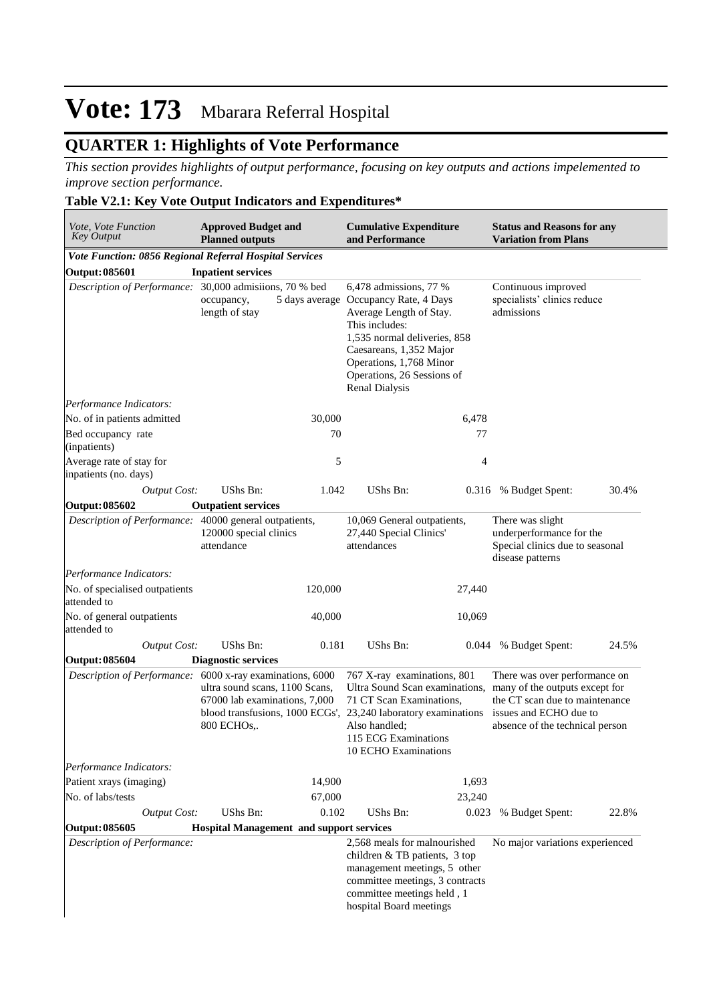## **QUARTER 1: Highlights of Vote Performance**

*This section provides highlights of output performance, focusing on key outputs and actions impelemented to improve section performance.*

### **Table V2.1: Key Vote Output Indicators and Expenditures\***

| Vote, Vote Function<br><b>Key Output</b>                  | <b>Approved Budget and</b><br><b>Planned outputs</b>                           |         | <b>Cumulative Expenditure</b><br>and Performance                                                                                                                                                                                                   |                | <b>Status and Reasons for any</b><br><b>Variation from Plans</b>                                                                                               |       |
|-----------------------------------------------------------|--------------------------------------------------------------------------------|---------|----------------------------------------------------------------------------------------------------------------------------------------------------------------------------------------------------------------------------------------------------|----------------|----------------------------------------------------------------------------------------------------------------------------------------------------------------|-------|
| Vote Function: 0856 Regional Referral Hospital Services   |                                                                                |         |                                                                                                                                                                                                                                                    |                |                                                                                                                                                                |       |
| Output: 085601                                            | <b>Inpatient services</b>                                                      |         |                                                                                                                                                                                                                                                    |                |                                                                                                                                                                |       |
| Description of Performance: 30,000 admisiions, 70 % bed   | occupancy,<br>length of stay                                                   |         | 6,478 admissions, 77 %<br>5 days average Occupancy Rate, 4 Days<br>Average Length of Stay.<br>This includes:<br>1,535 normal deliveries, 858<br>Caesareans, 1,352 Major<br>Operations, 1,768 Minor<br>Operations, 26 Sessions of<br>Renal Dialysis |                | Continuous improved<br>specialists' clinics reduce<br>admissions                                                                                               |       |
| Performance Indicators:                                   |                                                                                |         |                                                                                                                                                                                                                                                    |                |                                                                                                                                                                |       |
| No. of in patients admitted                               |                                                                                | 30,000  |                                                                                                                                                                                                                                                    | 6,478          |                                                                                                                                                                |       |
| Bed occupancy rate<br>(inpatients)                        |                                                                                | 70      |                                                                                                                                                                                                                                                    | 77             |                                                                                                                                                                |       |
| Average rate of stay for<br>inpatients (no. days)         |                                                                                | 5       |                                                                                                                                                                                                                                                    | $\overline{4}$ |                                                                                                                                                                |       |
| <b>Output Cost:</b>                                       | UShs Bn:                                                                       | 1.042   | UShs Bn:                                                                                                                                                                                                                                           |                | 0.316 % Budget Spent:                                                                                                                                          | 30.4% |
| Output: 085602                                            | <b>Outpatient services</b>                                                     |         |                                                                                                                                                                                                                                                    |                |                                                                                                                                                                |       |
| Description of Performance: 40000 general outpatients,    | 120000 special clinics<br>attendance                                           |         | 10,069 General outpatients,<br>27,440 Special Clinics'<br>attendances                                                                                                                                                                              |                | There was slight<br>underperformance for the<br>Special clinics due to seasonal<br>disease patterns                                                            |       |
| Performance Indicators:                                   |                                                                                |         |                                                                                                                                                                                                                                                    |                |                                                                                                                                                                |       |
| No. of specialised outpatients<br>attended to             |                                                                                | 120,000 |                                                                                                                                                                                                                                                    | 27,440         |                                                                                                                                                                |       |
| No. of general outpatients<br>attended to                 |                                                                                | 40,000  |                                                                                                                                                                                                                                                    | 10,069         |                                                                                                                                                                |       |
| <b>Output Cost:</b>                                       | UShs Bn:                                                                       | 0.181   | UShs Bn:                                                                                                                                                                                                                                           | 0.044          | % Budget Spent:                                                                                                                                                | 24.5% |
| <b>Output: 085604</b>                                     | <b>Diagnostic services</b>                                                     |         |                                                                                                                                                                                                                                                    |                |                                                                                                                                                                |       |
| Description of Performance: 6000 x-ray examinations, 6000 | ultra sound scans, 1100 Scans,<br>67000 lab examinations, 7,000<br>800 ECHOs,. |         | 767 X-ray examinations, 801<br>Ultra Sound Scan examinations,<br>71 CT Scan Examinations,<br>blood transfusions, 1000 ECGs', 23,240 laboratory examinations<br>Also handled;<br>115 ECG Examinations<br>10 ECHO Examinations                       |                | There was over performance on<br>many of the outputs except for<br>the CT scan due to maintenance<br>issues and ECHO due to<br>absence of the technical person |       |
| Performance Indicators:                                   |                                                                                |         |                                                                                                                                                                                                                                                    |                |                                                                                                                                                                |       |
| Patient xrays (imaging)                                   |                                                                                | 14,900  |                                                                                                                                                                                                                                                    | 1,693          |                                                                                                                                                                |       |
| No. of labs/tests                                         |                                                                                | 67,000  |                                                                                                                                                                                                                                                    | 23,240         |                                                                                                                                                                |       |
| <b>Output Cost:</b>                                       | UShs Bn:                                                                       | 0.102   | UShs Bn:                                                                                                                                                                                                                                           | 0.023          | % Budget Spent:                                                                                                                                                | 22.8% |
| Output: 085605                                            | <b>Hospital Management and support services</b>                                |         |                                                                                                                                                                                                                                                    |                |                                                                                                                                                                |       |
| Description of Performance:                               |                                                                                |         | 2,568 meals for malnourished<br>children & TB patients, 3 top<br>management meetings, 5 other<br>committee meetings, 3 contracts<br>committee meetings held, 1<br>hospital Board meetings                                                          |                | No major variations experienced                                                                                                                                |       |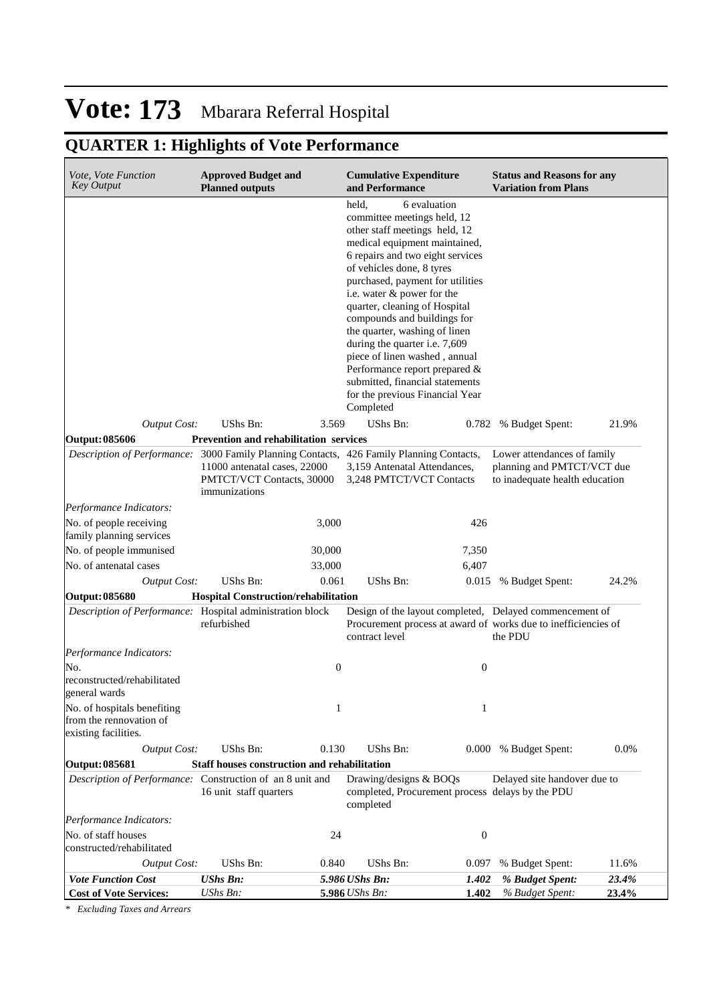## **QUARTER 1: Highlights of Vote Performance**

| Vote, Vote Function<br><b>Key Output</b>                                                 | <b>Approved Budget and</b><br><b>Planned outputs</b>                       |                  | <b>Cumulative Expenditure</b><br>and Performance                                                                                                                                                                                                                                                                                                                                                                                                                                                                                 |                  | <b>Status and Reasons for any</b><br><b>Variation from Plans</b>                                                                     |                |
|------------------------------------------------------------------------------------------|----------------------------------------------------------------------------|------------------|----------------------------------------------------------------------------------------------------------------------------------------------------------------------------------------------------------------------------------------------------------------------------------------------------------------------------------------------------------------------------------------------------------------------------------------------------------------------------------------------------------------------------------|------------------|--------------------------------------------------------------------------------------------------------------------------------------|----------------|
|                                                                                          |                                                                            |                  | held.<br>committee meetings held, 12<br>other staff meetings held, 12<br>medical equipment maintained,<br>6 repairs and two eight services<br>of vehicles done, 8 tyres<br>purchased, payment for utilities<br>i.e. water & power for the<br>quarter, cleaning of Hospital<br>compounds and buildings for<br>the quarter, washing of linen<br>during the quarter i.e. 7,609<br>piece of linen washed, annual<br>Performance report prepared &<br>submitted, financial statements<br>for the previous Financial Year<br>Completed | 6 evaluation     |                                                                                                                                      |                |
| <b>Output Cost:</b>                                                                      | UShs Bn:                                                                   | 3.569            | UShs Bn:                                                                                                                                                                                                                                                                                                                                                                                                                                                                                                                         | 0.782            | % Budget Spent:                                                                                                                      | 21.9%          |
| Output: 085606                                                                           | <b>Prevention and rehabilitation services</b>                              |                  |                                                                                                                                                                                                                                                                                                                                                                                                                                                                                                                                  |                  |                                                                                                                                      |                |
| Description of Performance: 3000 Family Planning Contacts, 426 Family Planning Contacts, | 11000 antenatal cases, 22000<br>PMTCT/VCT Contacts, 30000<br>immunizations |                  | 3,159 Antenatal Attendances,<br>3,248 PMTCT/VCT Contacts                                                                                                                                                                                                                                                                                                                                                                                                                                                                         |                  | Lower attendances of family<br>planning and PMTCT/VCT due<br>to inadequate health education                                          |                |
| Performance Indicators:                                                                  |                                                                            |                  |                                                                                                                                                                                                                                                                                                                                                                                                                                                                                                                                  |                  |                                                                                                                                      |                |
| No. of people receiving<br>family planning services                                      |                                                                            | 3,000            |                                                                                                                                                                                                                                                                                                                                                                                                                                                                                                                                  | 426              |                                                                                                                                      |                |
| No. of people immunised                                                                  |                                                                            | 30,000           |                                                                                                                                                                                                                                                                                                                                                                                                                                                                                                                                  | 7,350            |                                                                                                                                      |                |
| No. of antenatal cases                                                                   |                                                                            | 33,000           |                                                                                                                                                                                                                                                                                                                                                                                                                                                                                                                                  | 6,407            |                                                                                                                                      |                |
| <b>Output Cost:</b>                                                                      | UShs Bn:                                                                   | 0.061            | <b>UShs Bn:</b>                                                                                                                                                                                                                                                                                                                                                                                                                                                                                                                  | 0.015            | % Budget Spent:                                                                                                                      | 24.2%          |
| Output: 085680                                                                           | <b>Hospital Construction/rehabilitation</b>                                |                  |                                                                                                                                                                                                                                                                                                                                                                                                                                                                                                                                  |                  |                                                                                                                                      |                |
| Description of Performance: Hospital administration block                                | refurbished                                                                |                  | contract level                                                                                                                                                                                                                                                                                                                                                                                                                                                                                                                   |                  | Design of the layout completed, Delayed commencement of<br>Procurement process at award of works due to inefficiencies of<br>the PDU |                |
| Performance Indicators:                                                                  |                                                                            |                  |                                                                                                                                                                                                                                                                                                                                                                                                                                                                                                                                  |                  |                                                                                                                                      |                |
| No.<br>reconstructed/rehabilitated<br>general wards                                      |                                                                            | $\boldsymbol{0}$ |                                                                                                                                                                                                                                                                                                                                                                                                                                                                                                                                  | $\boldsymbol{0}$ |                                                                                                                                      |                |
| No. of hospitals benefiting<br>from the rennovation of<br>existing facilities.           |                                                                            | 1                |                                                                                                                                                                                                                                                                                                                                                                                                                                                                                                                                  | 1                |                                                                                                                                      |                |
| <b>Output Cost:</b>                                                                      | <b>UShs Bn:</b>                                                            | 0.130            | UShs Bn:                                                                                                                                                                                                                                                                                                                                                                                                                                                                                                                         |                  | 0.000 % Budget Spent:                                                                                                                | 0.0%           |
| Output: 085681                                                                           | Staff houses construction and rehabilitation                               |                  |                                                                                                                                                                                                                                                                                                                                                                                                                                                                                                                                  |                  |                                                                                                                                      |                |
| Description of Performance: Construction of an 8 unit and                                | 16 unit staff quarters                                                     |                  | Drawing/designs & BOQs<br>completed                                                                                                                                                                                                                                                                                                                                                                                                                                                                                              |                  | Delayed site handover due to<br>completed, Procurement process delays by the PDU                                                     |                |
| Performance Indicators:                                                                  |                                                                            |                  |                                                                                                                                                                                                                                                                                                                                                                                                                                                                                                                                  |                  |                                                                                                                                      |                |
|                                                                                          |                                                                            |                  |                                                                                                                                                                                                                                                                                                                                                                                                                                                                                                                                  | $\boldsymbol{0}$ |                                                                                                                                      |                |
| No. of staff houses                                                                      |                                                                            | 24               |                                                                                                                                                                                                                                                                                                                                                                                                                                                                                                                                  |                  |                                                                                                                                      |                |
| constructed/rehabilitated                                                                |                                                                            |                  |                                                                                                                                                                                                                                                                                                                                                                                                                                                                                                                                  |                  |                                                                                                                                      |                |
| <b>Output Cost:</b><br><b>Vote Function Cost</b>                                         | UShs Bn:<br><b>UShs Bn:</b>                                                | 0.840            | UShs Bn:<br>5.986 UShs Bn:                                                                                                                                                                                                                                                                                                                                                                                                                                                                                                       | 0.097<br>1.402   | % Budget Spent:<br>% Budget Spent:                                                                                                   | 11.6%<br>23.4% |

*\* Excluding Taxes and Arrears*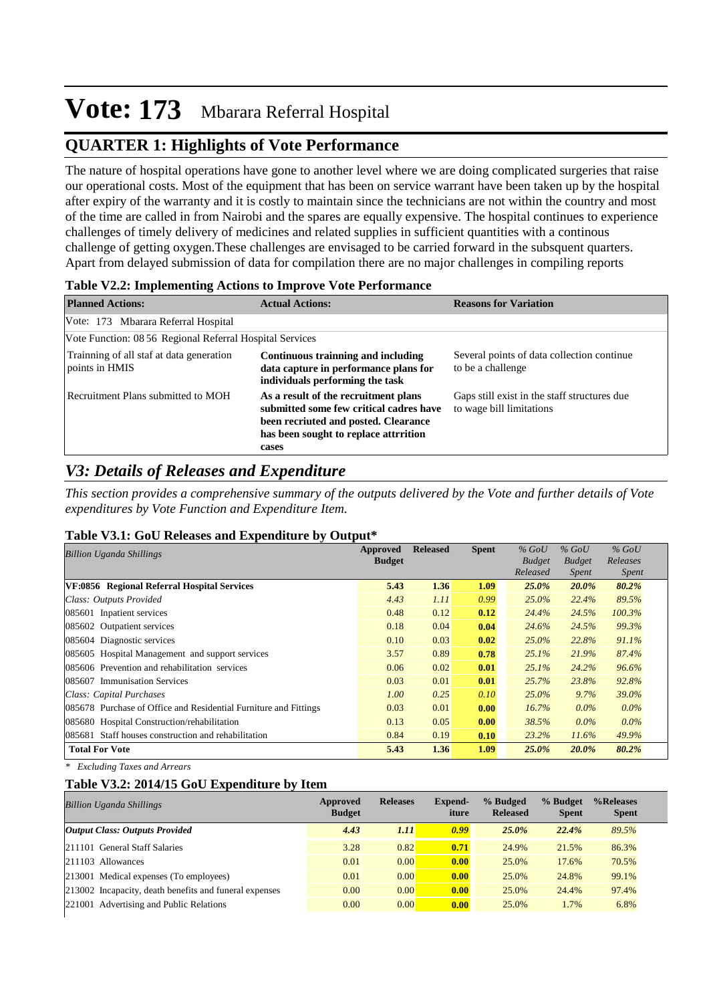## **QUARTER 1: Highlights of Vote Performance**

The nature of hospital operations have gone to another level where we are doing complicated surgeries that raise our operational costs. Most of the equipment that has been on service warrant have been taken up by the hospital after expiry of the warranty and it is costly to maintain since the technicians are not within the country and most of the time are called in from Nairobi and the spares are equally expensive. The hospital continues to experience challenges of timely delivery of medicines and related supplies in sufficient quantities with a continous challenge of getting oxygen.These challenges are envisaged to be carried forward in the subsquent quarters. Apart from delayed submission of data for compilation there are no major challenges in compiling reports

| <b>Planned Actions:</b>                                    | <b>Actual Actions:</b>                                                                                                                                                    | <b>Reasons for Variation</b>                                             |
|------------------------------------------------------------|---------------------------------------------------------------------------------------------------------------------------------------------------------------------------|--------------------------------------------------------------------------|
| Vote: 173 Mbarara Referral Hospital                        |                                                                                                                                                                           |                                                                          |
| Vote Function: 08 56 Regional Referral Hospital Services   |                                                                                                                                                                           |                                                                          |
| Trainning of all staf at data generation<br>points in HMIS | Continuous trainning and including<br>data capture in performance plans for<br>individuals performing the task                                                            | Several points of data collection continue.<br>to be a challenge         |
| Recruitment Plans submitted to MOH                         | As a result of the recruitment plans<br>submitted some few critical cadres have<br>been recriuted and posted. Clearance<br>has been sought to replace attrrition<br>cases | Gaps still exist in the staff structures due<br>to wage bill limitations |

### **Table V2.2: Implementing Actions to Improve Vote Performance**

### *V3: Details of Releases and Expenditure*

*This section provides a comprehensive summary of the outputs delivered by the Vote and further details of Vote expenditures by Vote Function and Expenditure Item.*

#### **Table V3.1: GoU Releases and Expenditure by Output\***

| <b>Billion Uganda Shillings</b>                                  | Approved      | <b>Released</b> | <b>Spent</b> | $%$ GoU       | $%$ GoU       | $%$ GoU      |
|------------------------------------------------------------------|---------------|-----------------|--------------|---------------|---------------|--------------|
|                                                                  | <b>Budget</b> |                 |              | <b>Budget</b> | <b>Budget</b> | Releases     |
|                                                                  |               |                 |              | Released      | <i>Spent</i>  | <i>Spent</i> |
| VF:0856 Regional Referral Hospital Services                      | 5.43          | 1.36            | 1.09         | 25.0%         | 20.0%         | 80.2%        |
| Class: Outputs Provided                                          | 4.43          | 1.11            | 0.99         | $25.0\%$      | 22.4%         | 89.5%        |
| 085601 Inpatient services                                        | 0.48          | 0.12            | 0.12         | 24.4%         | 24.5%         | 100.3%       |
| 085602 Outpatient services                                       | 0.18          | 0.04            | 0.04         | 24.6%         | 24.5%         | 99.3%        |
| 085604 Diagnostic services                                       | 0.10          | 0.03            | 0.02         | $25.0\%$      | 22.8%         | 91.1%        |
| 085605 Hospital Management and support services                  | 3.57          | 0.89            | 0.78         | 25.1%         | 21.9%         | 87.4%        |
| 085606 Prevention and rehabilitation services                    | 0.06          | 0.02            | 0.01         | 25.1%         | 24.2%         | 96.6%        |
| 085607 Immunisation Services                                     | 0.03          | 0.01            | 0.01         | 25.7%         | 23.8%         | 92.8%        |
| Class: Capital Purchases                                         | 1.00          | 0.25            | 0.10         | $25.0\%$      | $9.7\%$       | 39.0%        |
| 085678 Purchase of Office and Residential Furniture and Fittings | 0.03          | 0.01            | 0.00         | 16.7%         | $0.0\%$       | $0.0\%$      |
| 085680 Hospital Construction/rehabilitation                      | 0.13          | 0.05            | 0.00         | 38.5%         | $0.0\%$       | $0.0\%$      |
| 085681 Staff houses construction and rehabilitation              | 0.84          | 0.19            | 0.10         | 23.2%         | $11.6\%$      | 49.9%        |
| <b>Total For Vote</b>                                            | 5.43          | 1.36            | 1.09         | 25.0%         | 20.0%         | 80.2%        |

*\* Excluding Taxes and Arrears*

### **Table V3.2: 2014/15 GoU Expenditure by Item**

| <b>Billion Uganda Shillings</b>                        | Approved<br><b>Budget</b> | <b>Releases</b> | Expend-<br>iture | % Budged<br><b>Released</b> | % Budget<br><b>Spent</b> | %Releases<br><b>Spent</b> |
|--------------------------------------------------------|---------------------------|-----------------|------------------|-----------------------------|--------------------------|---------------------------|
| <b>Output Class: Outputs Provided</b>                  | 4.43                      | 1.11            | 0.99             | 25.0%                       | 22.4%                    | 89.5%                     |
| 211101 General Staff Salaries                          | 3.28                      | 0.82            | 0.71             | 24.9%                       | 21.5%                    | 86.3%                     |
| 211103 Allowances                                      | 0.01                      | 0.00            | 0.00             | 25.0%                       | 17.6%                    | 70.5%                     |
| 213001 Medical expenses (To employees)                 | 0.01                      | 0.00            | 0.00             | 25.0%                       | 24.8%                    | 99.1%                     |
| 213002 Incapacity, death benefits and funeral expenses | 0.00                      | 0.00            | 0.00             | 25.0%                       | 24.4%                    | 97.4%                     |
| 221001<br><b>Advertising and Public Relations</b>      | 0.00                      | 0.00            | 0.00             | 25.0%                       | 1.7%                     | 6.8%                      |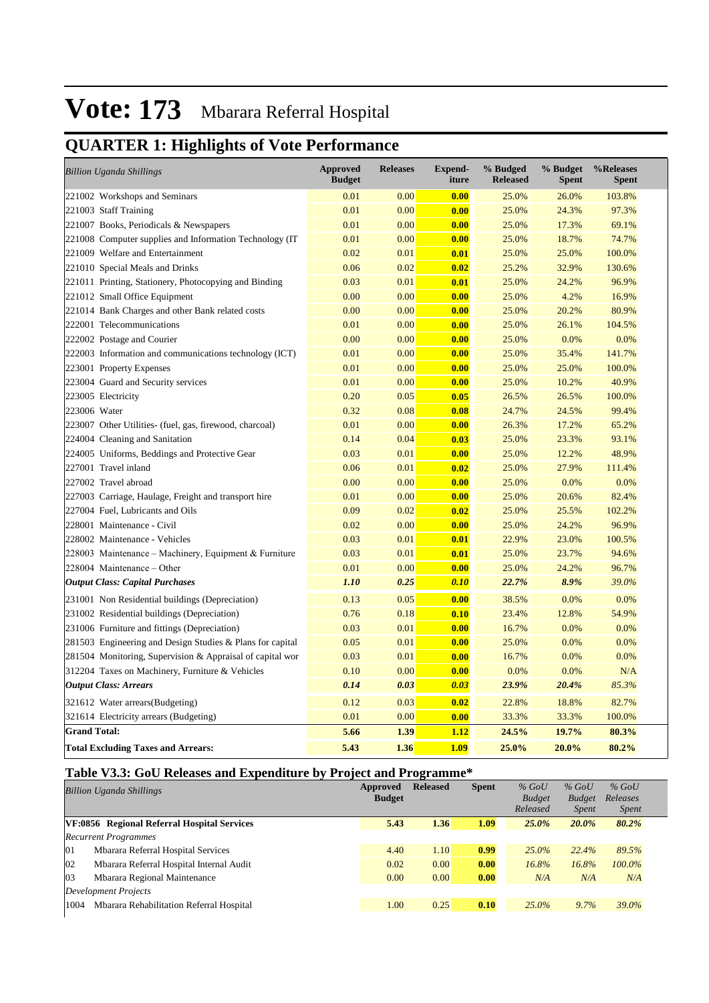## **QUARTER 1: Highlights of Vote Performance**

| <b>Billion Uganda Shillings</b>                           | <b>Approved</b><br><b>Budget</b> | <b>Releases</b> | <b>Expend-</b><br>iture | % Budged<br><b>Released</b> | % Budget<br><b>Spent</b> | %Releases<br><b>Spent</b> |
|-----------------------------------------------------------|----------------------------------|-----------------|-------------------------|-----------------------------|--------------------------|---------------------------|
| 221002 Workshops and Seminars                             | 0.01                             | 0.00            | 0.00                    | 25.0%                       | 26.0%                    | 103.8%                    |
| 221003 Staff Training                                     | 0.01                             | 0.00            | 0.00                    | 25.0%                       | 24.3%                    | 97.3%                     |
| 221007 Books, Periodicals & Newspapers                    | 0.01                             | 0.00            | 0.00                    | 25.0%                       | 17.3%                    | 69.1%                     |
| 221008 Computer supplies and Information Technology (IT   | 0.01                             | 0.00            | 0.00                    | 25.0%                       | 18.7%                    | 74.7%                     |
| 221009 Welfare and Entertainment                          | 0.02                             | 0.01            | 0.01                    | 25.0%                       | 25.0%                    | 100.0%                    |
| 221010 Special Meals and Drinks                           | 0.06                             | 0.02            | 0.02                    | 25.2%                       | 32.9%                    | 130.6%                    |
| 221011 Printing, Stationery, Photocopying and Binding     | 0.03                             | 0.01            | 0.01                    | 25.0%                       | 24.2%                    | 96.9%                     |
| 221012 Small Office Equipment                             | 0.00                             | 0.00            | 0.00                    | 25.0%                       | 4.2%                     | 16.9%                     |
| 221014 Bank Charges and other Bank related costs          | 0.00                             | 0.00            | 0.00                    | 25.0%                       | 20.2%                    | 80.9%                     |
| 222001 Telecommunications                                 | 0.01                             | 0.00            | 0.00                    | 25.0%                       | 26.1%                    | 104.5%                    |
| 222002 Postage and Courier                                | 0.00                             | 0.00            | 0.00                    | 25.0%                       | 0.0%                     | 0.0%                      |
| 222003 Information and communications technology (ICT)    | 0.01                             | 0.00            | 0.00                    | 25.0%                       | 35.4%                    | 141.7%                    |
| 223001 Property Expenses                                  | 0.01                             | 0.00            | 0.00                    | 25.0%                       | 25.0%                    | 100.0%                    |
| 223004 Guard and Security services                        | 0.01                             | 0.00            | 0.00                    | 25.0%                       | 10.2%                    | 40.9%                     |
| 223005 Electricity                                        | 0.20                             | 0.05            | 0.05                    | 26.5%                       | 26.5%                    | 100.0%                    |
| 223006 Water                                              | 0.32                             | 0.08            | 0.08                    | 24.7%                       | 24.5%                    | 99.4%                     |
| 223007 Other Utilities- (fuel, gas, firewood, charcoal)   | 0.01                             | 0.00            | 0.00                    | 26.3%                       | 17.2%                    | 65.2%                     |
| 224004 Cleaning and Sanitation                            | 0.14                             | 0.04            | 0.03                    | 25.0%                       | 23.3%                    | 93.1%                     |
| 224005 Uniforms, Beddings and Protective Gear             | 0.03                             | 0.01            | 0.00                    | 25.0%                       | 12.2%                    | 48.9%                     |
| 227001 Travel inland                                      | 0.06                             | 0.01            | 0.02                    | 25.0%                       | 27.9%                    | 111.4%                    |
| 227002 Travel abroad                                      | 0.00                             | 0.00            | 0.00                    | 25.0%                       | 0.0%                     | 0.0%                      |
| 227003 Carriage, Haulage, Freight and transport hire      | 0.01                             | 0.00            | 0.00                    | 25.0%                       | 20.6%                    | 82.4%                     |
| 227004 Fuel, Lubricants and Oils                          | 0.09                             | 0.02            | 0.02                    | 25.0%                       | 25.5%                    | 102.2%                    |
| 228001 Maintenance - Civil                                | 0.02                             | 0.00            | 0.00                    | 25.0%                       | 24.2%                    | 96.9%                     |
| 228002 Maintenance - Vehicles                             | 0.03                             | 0.01            | 0.01                    | 22.9%                       | 23.0%                    | 100.5%                    |
| 228003 Maintenance – Machinery, Equipment & Furniture     | 0.03                             | 0.01            | 0.01                    | 25.0%                       | 23.7%                    | 94.6%                     |
| 228004 Maintenance - Other                                | 0.01                             | 0.00            | 0.00                    | 25.0%                       | 24.2%                    | 96.7%                     |
| <b>Output Class: Capital Purchases</b>                    | 1.10                             | 0.25            | 0.10                    | 22.7%                       | 8.9%                     | 39.0%                     |
| 231001 Non Residential buildings (Depreciation)           | 0.13                             | 0.05            | 0.00                    | 38.5%                       | 0.0%                     | 0.0%                      |
| 231002 Residential buildings (Depreciation)               | 0.76                             | 0.18            | 0.10                    | 23.4%                       | 12.8%                    | 54.9%                     |
| 231006 Furniture and fittings (Depreciation)              | 0.03                             | 0.01            | 0.00                    | 16.7%                       | 0.0%                     | 0.0%                      |
| 281503 Engineering and Design Studies & Plans for capital | 0.05                             | 0.01            | 0.00                    | 25.0%                       | 0.0%                     | 0.0%                      |
| 281504 Monitoring, Supervision & Appraisal of capital wor | 0.03                             | 0.01            | 0.00                    | 16.7%                       | 0.0%                     | 0.0%                      |
| 312204 Taxes on Machinery, Furniture & Vehicles           | 0.10                             | 0.00            | 0.00                    | 0.0%                        | 0.0%                     | N/A                       |
| <b>Output Class: Arrears</b>                              | 0.14                             | 0.03            | 0.03                    | 23.9%                       | 20.4%                    | 85.3%                     |
| 321612 Water arrears(Budgeting)                           | 0.12                             | 0.03            | 0.02                    | 22.8%                       | 18.8%                    | 82.7%                     |
| 321614 Electricity arrears (Budgeting)                    | 0.01                             | 0.00            | 0.00                    | 33.3%                       | 33.3%                    | 100.0%                    |
| <b>Grand Total:</b>                                       | 5.66                             | 1.39            | 1.12                    | 24.5%                       | 19.7%                    | 80.3%                     |
| <b>Total Excluding Taxes and Arrears:</b>                 | 5.43                             | 1.36            | 1.09                    | 25.0%                       | 20.0%                    | 80.2%                     |

### **Table V3.3: GoU Releases and Expenditure by Project and Programme\***

|          | <b>Billion Uganda Shillings</b>             | Approved      | <b>Released</b> | <b>Spent</b> | $%$ GoU       | $%$ GoU       | $%$ GoU      |
|----------|---------------------------------------------|---------------|-----------------|--------------|---------------|---------------|--------------|
|          |                                             | <b>Budget</b> |                 |              | <b>Budget</b> | <b>Budget</b> | Releases     |
|          |                                             |               |                 |              | Released      | <i>Spent</i>  | <i>Spent</i> |
|          | VF:0856 Regional Referral Hospital Services | 5.43          | 1.36            | 1.09         | $25.0\%$      | $20.0\%$      | 80.2%        |
|          | <b>Recurrent Programmes</b>                 |               |                 |              |               |               |              |
| $\Omega$ | Mbarara Referral Hospital Services          | 4.40          | 1.10            | 0.99         | $25.0\%$      | 22.4%         | 89.5%        |
| 02       | Mbarara Referral Hospital Internal Audit    | 0.02          | 0.00            | 0.00         | 16.8%         | 16.8%         | 100.0%       |
| 03       | Mbarara Regional Maintenance                | 0.00          | 0.00            | 0.00         | N/A           | N/A           | N/A          |
|          | Development Projects                        |               |                 |              |               |               |              |
| 1004     | Mbarara Rehabilitation Referral Hospital    | 1.00          | 0.25            | 0.10         | $25.0\%$      | 9.7%          | 39.0%        |
|          |                                             |               |                 |              |               |               |              |